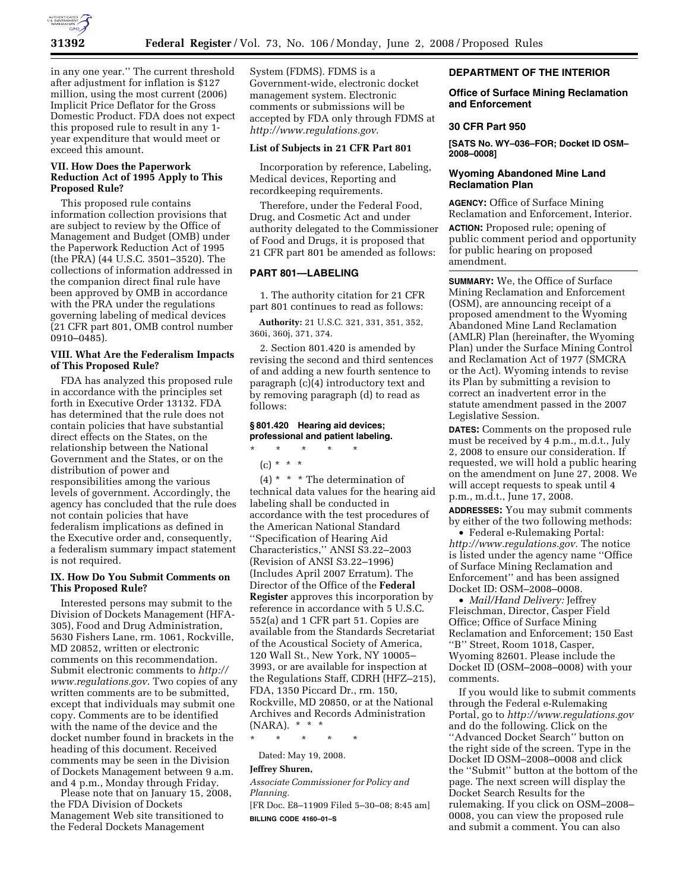

in any one year.'' The current threshold after adjustment for inflation is \$127 million, using the most current (2006) Implicit Price Deflator for the Gross Domestic Product. FDA does not expect this proposed rule to result in any 1 year expenditure that would meet or exceed this amount.

# **VII. How Does the Paperwork Reduction Act of 1995 Apply to This Proposed Rule?**

This proposed rule contains information collection provisions that are subject to review by the Office of Management and Budget (OMB) under the Paperwork Reduction Act of 1995 (the PRA) (44 U.S.C. 3501–3520). The collections of information addressed in the companion direct final rule have been approved by OMB in accordance with the PRA under the regulations governing labeling of medical devices (21 CFR part 801, OMB control number 0910–0485).

#### **VIII. What Are the Federalism Impacts of This Proposed Rule?**

FDA has analyzed this proposed rule in accordance with the principles set forth in Executive Order 13132. FDA has determined that the rule does not contain policies that have substantial direct effects on the States, on the relationship between the National Government and the States, or on the distribution of power and responsibilities among the various levels of government. Accordingly, the agency has concluded that the rule does not contain policies that have federalism implications as defined in the Executive order and, consequently, a federalism summary impact statement is not required.

#### **IX. How Do You Submit Comments on This Proposed Rule?**

Interested persons may submit to the Division of Dockets Management (HFA-305), Food and Drug Administration, 5630 Fishers Lane, rm. 1061, Rockville, MD 20852, written or electronic comments on this recommendation. Submit electronic comments to *http:// www.regulations.gov*. Two copies of any written comments are to be submitted, except that individuals may submit one copy. Comments are to be identified with the name of the device and the docket number found in brackets in the heading of this document. Received comments may be seen in the Division of Dockets Management between 9 a.m. and 4 p.m., Monday through Friday.

Please note that on January 15, 2008, the FDA Division of Dockets Management Web site transitioned to the Federal Dockets Management

System (FDMS). FDMS is a Government-wide, electronic docket management system. Electronic comments or submissions will be accepted by FDA only through FDMS at *http://www.regulations.gov*.

# **List of Subjects in 21 CFR Part 801**

Incorporation by reference, Labeling, Medical devices, Reporting and recordkeeping requirements.

Therefore, under the Federal Food, Drug, and Cosmetic Act and under authority delegated to the Commissioner of Food and Drugs, it is proposed that 21 CFR part 801 be amended as follows:

# **PART 801—LABELING**

1. The authority citation for 21 CFR part 801 continues to read as follows:

**Authority:** 21 U.S.C. 321, 331, 351, 352, 360i, 360j, 371, 374.

2. Section 801.420 is amended by revising the second and third sentences of and adding a new fourth sentence to paragraph (c)(4) introductory text and by removing paragraph (d) to read as follows:

# **§ 801.420 Hearing aid devices; professional and patient labeling.**

# \* \* \* \* \*  $(c) * * * *$

 $(4)$  \* \* \* The determination of technical data values for the hearing aid labeling shall be conducted in accordance with the test procedures of the American National Standard ''Specification of Hearing Aid Characteristics,'' ANSI S3.22–2003 (Revision of ANSI S3.22–1996) (Includes April 2007 Erratum). The Director of the Office of the **Federal Register** approves this incorporation by reference in accordance with 5 U.S.C. 552(a) and 1 CFR part 51. Copies are available from the Standards Secretariat of the Acoustical Society of America, 120 Wall St., New York, NY 10005– 3993, or are available for inspection at the Regulations Staff, CDRH (HFZ–215), FDA, 1350 Piccard Dr., rm. 150, Rockville, MD 20850, or at the National Archives and Records Administration (NARA). \* \* \*

\* \* \* \* \*

Dated: May 19, 2008.

#### **Jeffrey Shuren,**

*Associate Commissioner for Policy and Planning.* 

[FR Doc. E8–11909 Filed 5–30–08; 8:45 am] **BILLING CODE 4160–01–S** 

#### **DEPARTMENT OF THE INTERIOR**

#### **Office of Surface Mining Reclamation and Enforcement**

#### **30 CFR Part 950**

**[SATS No. WY–036–FOR; Docket ID OSM– 2008–0008]** 

# **Wyoming Abandoned Mine Land Reclamation Plan**

**AGENCY:** Office of Surface Mining Reclamation and Enforcement, Interior.

**ACTION:** Proposed rule; opening of public comment period and opportunity for public hearing on proposed amendment.

**SUMMARY:** We, the Office of Surface Mining Reclamation and Enforcement (OSM), are announcing receipt of a proposed amendment to the Wyoming Abandoned Mine Land Reclamation (AMLR) Plan (hereinafter, the Wyoming Plan) under the Surface Mining Control and Reclamation Act of 1977 (SMCRA or the Act). Wyoming intends to revise its Plan by submitting a revision to correct an inadvertent error in the statute amendment passed in the 2007 Legislative Session.

**DATES:** Comments on the proposed rule must be received by 4 p.m., m.d.t., July 2, 2008 to ensure our consideration. If requested, we will hold a public hearing on the amendment on June 27, 2008. We will accept requests to speak until 4 p.m., m.d.t., June 17, 2008.

**ADDRESSES:** You may submit comments by either of the two following methods:

• Federal e-Rulemaking Portal: *http://www.regulations.gov.* The notice is listed under the agency name ''Office of Surface Mining Reclamation and Enforcement'' and has been assigned Docket ID: OSM–2008–0008.

• *Mail/Hand Delivery:* Jeffrey Fleischman, Director, Casper Field Office; Office of Surface Mining Reclamation and Enforcement; 150 East ''B'' Street, Room 1018, Casper, Wyoming 82601. Please include the Docket ID (OSM–2008–0008) with your comments.

If you would like to submit comments through the Federal e-Rulemaking Portal, go to *http://www.regulations.gov*  and do the following. Click on the ''Advanced Docket Search'' button on the right side of the screen. Type in the Docket ID OSM–2008–0008 and click the ''Submit'' button at the bottom of the page. The next screen will display the Docket Search Results for the rulemaking. If you click on OSM–2008– 0008, you can view the proposed rule and submit a comment. You can also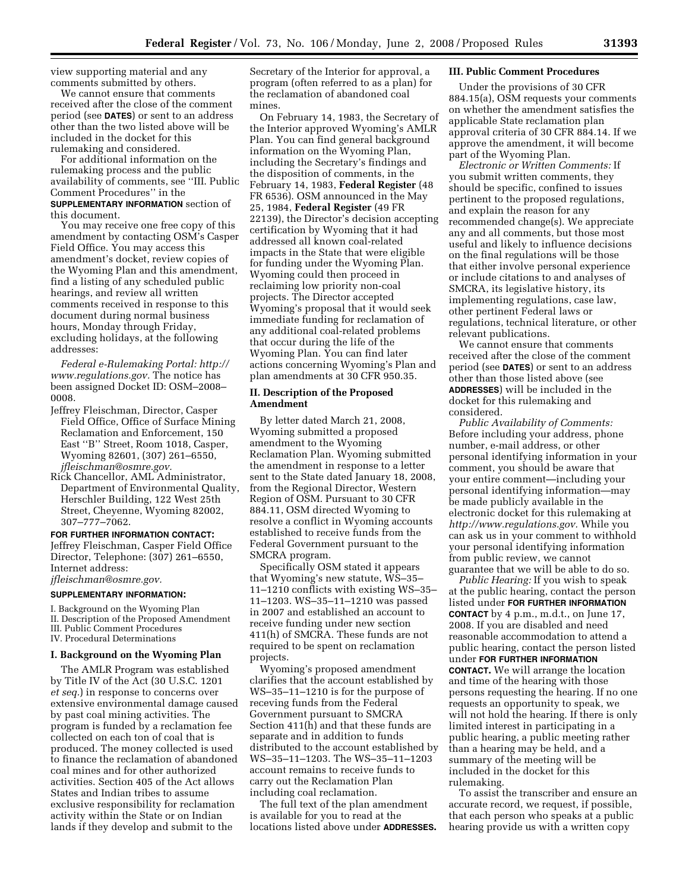view supporting material and any comments submitted by others.

We cannot ensure that comments received after the close of the comment period (see **DATES**) or sent to an address other than the two listed above will be included in the docket for this rulemaking and considered.

For additional information on the rulemaking process and the public availability of comments, see ''III. Public Comment Procedures'' in the **SUPPLEMENTARY INFORMATION** section of this document.

You may receive one free copy of this amendment by contacting OSM's Casper Field Office. You may access this amendment's docket, review copies of the Wyoming Plan and this amendment, find a listing of any scheduled public hearings, and review all written comments received in response to this document during normal business hours, Monday through Friday, excluding holidays, at the following addresses:

*Federal e-Rulemaking Portal: http:// www.regulations.gov.* The notice has been assigned Docket ID: OSM–2008– 0008.

- Jeffrey Fleischman, Director, Casper Field Office, Office of Surface Mining Reclamation and Enforcement, 150 East ''B'' Street, Room 1018, Casper, Wyoming 82601, (307) 261–6550, *jfleischman@osmre.gov.*
- Rick Chancellor, AML Administrator, Department of Environmental Quality, Herschler Building, 122 West 25th Street, Cheyenne, Wyoming 82002, 307–777–7062.

#### **FOR FURTHER INFORMATION CONTACT:**

Jeffrey Fleischman, Casper Field Office Director, Telephone: (307) 261–6550, Internet address: *jfleischman@osmre.gov.* 

**SUPPLEMENTARY INFORMATION:** 

I. Background on the Wyoming Plan

II. Description of the Proposed Amendment III. Public Comment Procedures

IV. Procedural Determinations

#### **I. Background on the Wyoming Plan**

The AMLR Program was established by Title IV of the Act (30 U.S.C. 1201 *et seq.*) in response to concerns over extensive environmental damage caused by past coal mining activities. The program is funded by a reclamation fee collected on each ton of coal that is produced. The money collected is used to finance the reclamation of abandoned coal mines and for other authorized activities. Section 405 of the Act allows States and Indian tribes to assume exclusive responsibility for reclamation activity within the State or on Indian lands if they develop and submit to the

Secretary of the Interior for approval, a program (often referred to as a plan) for the reclamation of abandoned coal mines.

On February 14, 1983, the Secretary of the Interior approved Wyoming's AMLR Plan. You can find general background information on the Wyoming Plan, including the Secretary's findings and the disposition of comments, in the February 14, 1983, **Federal Register** (48 FR 6536). OSM announced in the May 25, 1984, **Federal Register** (49 FR 22139), the Director's decision accepting certification by Wyoming that it had addressed all known coal-related impacts in the State that were eligible for funding under the Wyoming Plan. Wyoming could then proceed in reclaiming low priority non-coal projects. The Director accepted Wyoming's proposal that it would seek immediate funding for reclamation of any additional coal-related problems that occur during the life of the Wyoming Plan. You can find later actions concerning Wyoming's Plan and plan amendments at 30 CFR 950.35.

#### **II. Description of the Proposed Amendment**

By letter dated March 21, 2008, Wyoming submitted a proposed amendment to the Wyoming Reclamation Plan. Wyoming submitted the amendment in response to a letter sent to the State dated January 18, 2008, from the Regional Director, Western Region of OSM. Pursuant to 30 CFR 884.11, OSM directed Wyoming to resolve a conflict in Wyoming accounts established to receive funds from the Federal Government pursuant to the SMCRA program.

Specifically OSM stated it appears that Wyoming's new statute, WS–35– 11–1210 conflicts with existing WS–35– 11–1203. WS–35–11–1210 was passed in 2007 and established an account to receive funding under new section 411(h) of SMCRA. These funds are not required to be spent on reclamation projects.

Wyoming's proposed amendment clarifies that the account established by WS–35–11–1210 is for the purpose of receving funds from the Federal Government pursuant to SMCRA Section 411(h) and that these funds are separate and in addition to funds distributed to the account established by WS–35–11–1203. The WS–35–11–1203 account remains to receive funds to carry out the Reclamation Plan including coal reclamation.

The full text of the plan amendment is available for you to read at the locations listed above under **ADDRESSES.** 

# **III. Public Comment Procedures**

Under the provisions of 30 CFR 884.15(a), OSM requests your comments on whether the amendment satisfies the applicable State reclamation plan approval criteria of 30 CFR 884.14. If we approve the amendment, it will become part of the Wyoming Plan.

*Electronic or Written Comments:* If you submit written comments, they should be specific, confined to issues pertinent to the proposed regulations, and explain the reason for any recommended change(s). We appreciate any and all comments, but those most useful and likely to influence decisions on the final regulations will be those that either involve personal experience or include citations to and analyses of SMCRA, its legislative history, its implementing regulations, case law, other pertinent Federal laws or regulations, technical literature, or other relevant publications.

We cannot ensure that comments received after the close of the comment period (see **DATES**) or sent to an address other than those listed above (see **ADDRESSES**) will be included in the docket for this rulemaking and considered.

*Public Availability of Comments:*  Before including your address, phone number, e-mail address, or other personal identifying information in your comment, you should be aware that your entire comment—including your personal identifying information—may be made publicly available in the electronic docket for this rulemaking at *http://www.regulations.gov.* While you can ask us in your comment to withhold your personal identifying information from public review, we cannot guarantee that we will be able to do so.

*Public Hearing:* If you wish to speak at the public hearing, contact the person listed under **FOR FURTHER INFORMATION CONTACT** by 4 p.m., m.d.t., on June 17, 2008. If you are disabled and need reasonable accommodation to attend a public hearing, contact the person listed under **FOR FURTHER INFORMATION CONTACT.** We will arrange the location and time of the hearing with those persons requesting the hearing. If no one requests an opportunity to speak, we will not hold the hearing. If there is only limited interest in participating in a public hearing, a public meeting rather than a hearing may be held, and a summary of the meeting will be included in the docket for this rulemaking.

To assist the transcriber and ensure an accurate record, we request, if possible, that each person who speaks at a public hearing provide us with a written copy